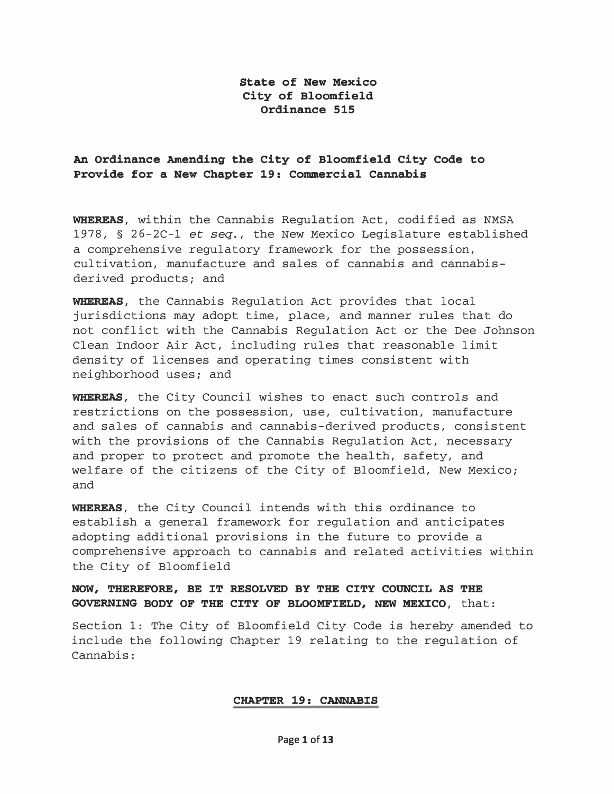## State of New Mexico City of Bloomfield Ordinance 515

## An Ordinance Amending the City of Bloomfield City Code to Provide for a New Chapter 19: Commercial Cannabis

WHEREAS, within the Cannabis Requlation Act, codified as NMSA 1978, § 26-2C-1 et seq., the New Mexico Legislature established a comprehensive regulatory framework for the possession, cultivation, manufacture and sales of cannabis and cannabisderived products; and

WHEREAS, the Cannabis Regulation Act provides that local jurisdictions may adopt time, place, and manner rules that do not conflict with the Cannabis Regulation Act or the Dee Johnson Clean Indoor Air Act, including rules that reasonable limit density of licenses and operating times consistent with neighborhood uses; and

WHEREAS, the City Council wishes to enact such controls and restrictions on the possession, use, cultivation, manufacture and sales of cannabis and cannabis-derived products, consistent with the provisions of the Cannabis Regulation Act, necessary and proper to protect and promote the health, safety, and welfare of the citizens of the City of Bloomfield, New Mexico; and

WHEREAS, the City Council intends with this ordinance to establish a general framework for regulation and anticipates adopting additional provisions in the future to provide a comprehensive approach to cannabis and related activities within the City of Bloomfield

## NOW, THEREFORE, BE IT RESOLVED BY THE CITY COUNCIL AS THE GOVERNING BODY OF THE CITY OF BLOOMFIELD, NEW MEXICO, that:

Section 1: The City of Bloomfield City Code is hereby amended to include the following Chapter 19 relating to the regulation of Cannabis:

#### CHAPTER 19: CANNABIS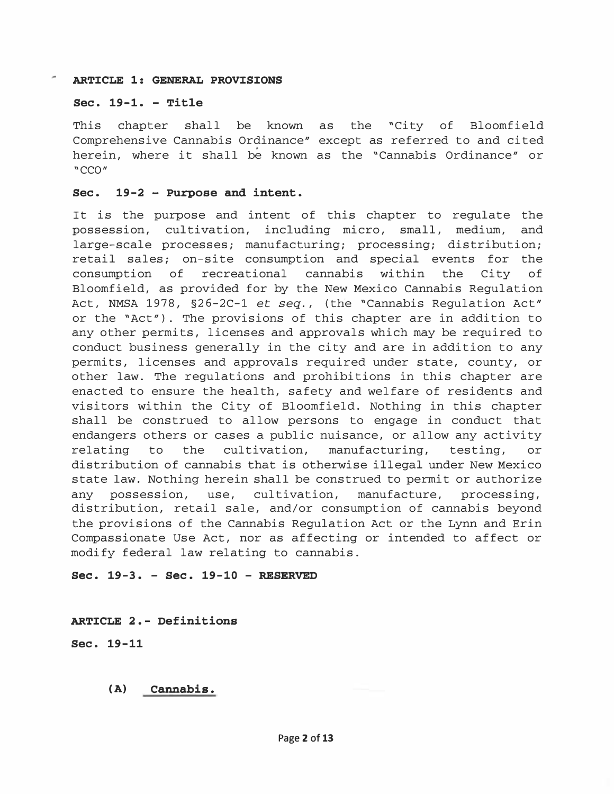### ARTICLE 1: GENERAL PROVISIONS

### Sec. 19-1. - Title

This chapter shall be known as the "City of Bloomfield Comprehensive Cannabis Ordinance" except as referred to and cited herein, where it shall be known as the "Cannabis Ordinance" or "CCO"

### Sec. 19-2 - Purpose and intent.

It is the purpose and intent of this chapter to regulate the possession, cultivation, including micro, small, medium, and large-scale processes; manufacturing; processing; distribution; retail sales; on-site consumption and special events for the consumption of recreational cannabis within the City of Bloomfield, as provided for by the New Mexico Cannabis Regulation Act, NMSA 1978, §26-2C-1 et seq., (the "Cannabis Regulation Act" or the "Act") . The provisions of this chapter are in addition to any other permits, licenses and approvals which may be required to conduct business generally in the city and are in addition to any permits, licenses and approvals required under state, county, or other law. The regulations and prohibitions in this chapter are enacted to ensure the health, safety and welfare of residents and visitors within the City of Bloomfield. Nothing in this chapter shall be construed to allow persons to engage in conduct that endangers others or cases a public nuisance, or allow any activity relating to the cultivation, manufacturing, testing, or distribution of cannabis that is otherwise illegal under New Mexico state law. Nothing herein shall be construed to permit or authorize any possession, use, cultivation, manufacture, processing, distribution, retail sale, and/or consumption of cannabis beyond the provisions of the Cannabis Regulation Act or the Lynn and Erin Compassionate Use Act, nor as affecting or intended to affect or modify federal law relating to cannabis.

### Sec. 19-3. - Sec. 19-10 - RESERVED

### ARTICLE 2.- Definitions

Sec. 19-11

### (A) Cannabis.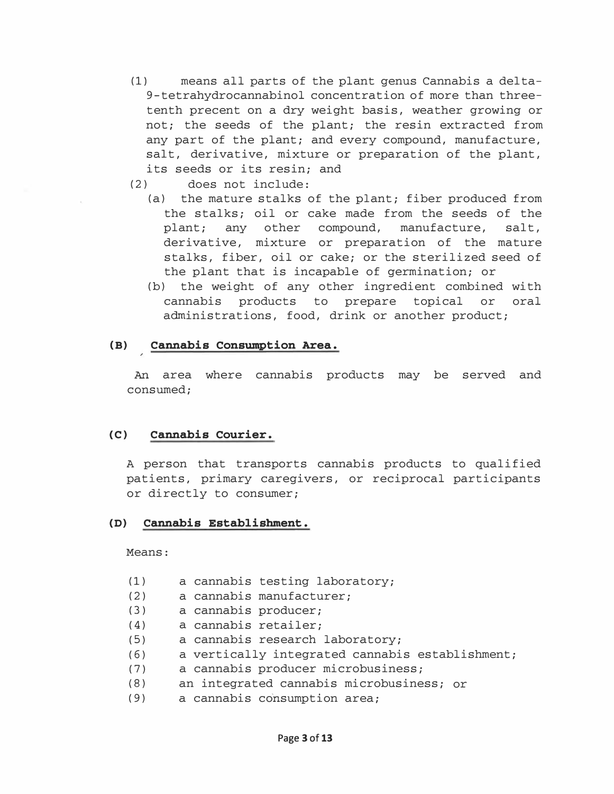- (1) means all parts of the plant genus Cannabis a delta-9-tetrahydrocannabinol concentration of more than threetenth precent on a dry weight basis, weather growing or not; the seeds of the plant; the resin extracted from any part of the plant; and every compound, manufacture, salt, derivative, mixture or preparation of the plant, its seeds or its resin; and
- (2) does not include:
	- (a) the mature stalks of the plant; fiber produced from the stalks; oil or cake made from the seeds of the plant; any other compound, manufacture, salt, derivative, mixture or preparation of the mature stalks, fiber, oil or cake; or the sterilized seed of the plant that is incapable of germination; or
	- (b) the weight of any other ingredient combined with cannabis products to prepare topical or oral administrations, food, drink or another product;

# (B) Cannabis Consumption Area.

An area where cannabis products may be served and consumed;

### (C) Cannabis Courier.

A person that transports cannabis products to qualified patients, primary caregivers, or reciprocal participants or directly to consumer;

### (D) Cannabis Establishment.

Means:

- (1) a cannabis testing laboratory;
- (2) a cannabis manufacturer;
- (3) a cannabis producer;
- (4) a cannabis retailer;
- (5) a cannabis research laboratory;
- (6) a vertically integrated cannabis establishment;
- (7) a cannabis producer microbusiness;
- (8) an integrated cannabis microbusiness; or
- ( 9) a cannabis consumption area;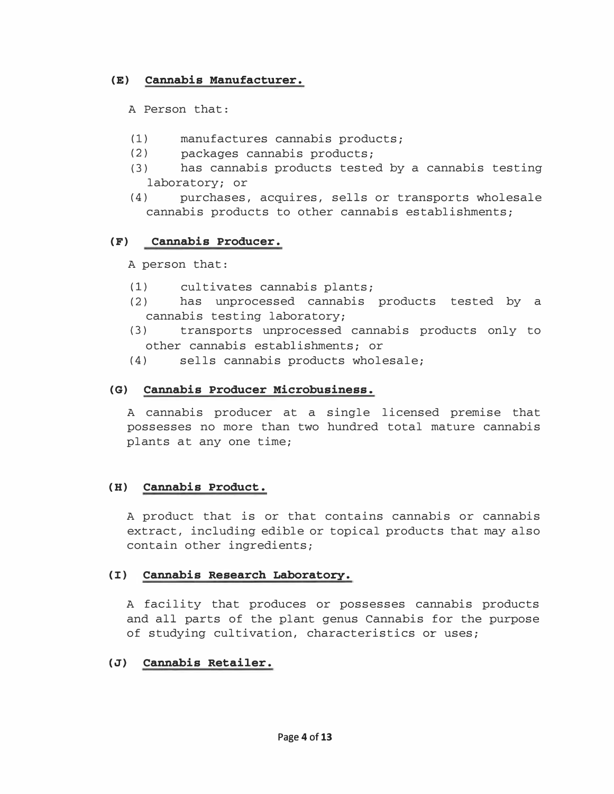# (E) Cannabis Manufacturer.

A Person that:

- (1) manufactures cannabis products;
- (2) packages cannabis products;
- (3) has cannabis products tested by a cannabis testing laboratory; or
- (4) purchases, acquires, sells or transports wholesale cannabis products to other cannabis establishments;

# (F) Cannabis Producer.

A person that:

- (1) cultivates cannabis plants;
- (2) has unprocessed cannabis products tested by a cannabis testing laboratory;
- ( 3) transports unprocessed cannabis products only to other cannabis establishments; or
- (4) sells cannabis products wholesale;

# (G) Cannabis Producer Microbusiness.

A cannabis producer at a single licensed premise that possesses no more than two hundred total mature cannabis plants at any one time;

## (H) Cannabis Product.

A product that is or that contains cannabis or cannabis extract, including edible or topical products that may also contain other ingredients;

## (I) Cannabis Research Laboratory.

A facility that produces or possesses cannabis products and all parts of the plant genus Cannabis for the purpose of studying cultivation, characteristics or uses;

## (J) Cannabis Retailer.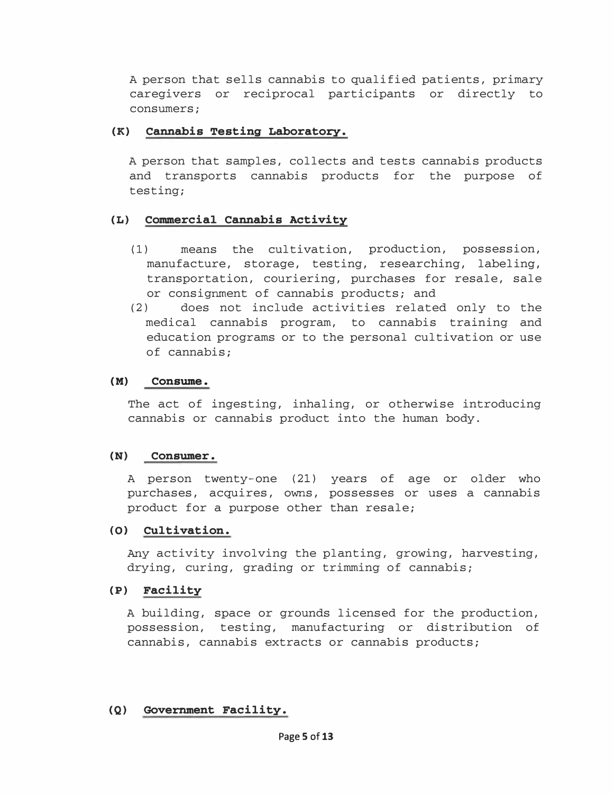A person that sells cannabis to qualified patients, primary caregivers or reciprocal participants or directly to consumers;

## (K) Cannabis Testing Laboratory.

A person that samples, collects and tests cannabis products and transports cannabis products for the purpose of testing;

## (L) Commercial Cannabis Activity

- (1) means the cultivation, production, possession, manufacture, storage, testing, researching, labeling, transportation, couriering, purchases for resale, sale or consignment of cannabis products; and
- (2) does not include activities related only to the medical cannabis program, to cannabis training and education programs or to the personal cultivation or use of cannabis;

## (M) Consume.

The act of ingesting, inhaling, or otherwise introducing cannabis or cannabis product into the human body.

## (N) Consumer.

A person twenty-one (21) years of age or older who purchases, acquires, owns, possesses or uses a cannabis product for a purpose other than resale;

## (0) Cultivation.

Any activity involving the planting, growing, harvesting, drying, curing, grading or trimming of cannabis;

## (P) Facility

A building, space or grounds licensed for the production, possession, testing, manufacturing or distribution of cannabis, cannabis extracts or cannabis products;

# (Q) Government Facility.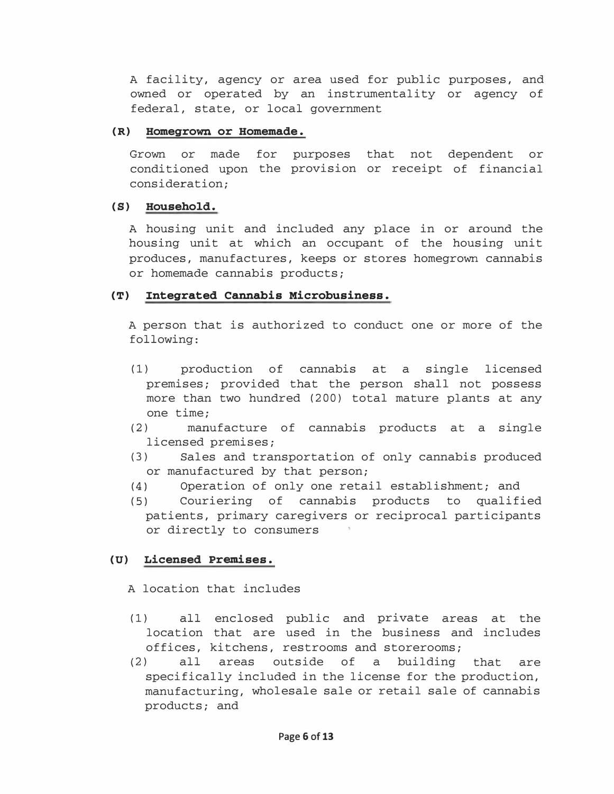A facility, agency or area used for public purposes, and owned or operated by an instrumentality or agency of federal, state, or local government

## (R) Homegrown or Homemade.

Grown or made for purposes that not dependent or conditioned upon the provision or receipt of financial consideration;

## (S) Household.

A housing unit and included any place in or around the housing unit at which an occupant of the housing unit produces, manufactures, keeps or stores homegrown cannabis or homemade cannabis products;

# (T) Integrated Cannabis Microbusiness.

A person that is authorized to conduct one or more of the following:

- (1) production of cannabis at a single licensed premises; provided that the person shall not possess more than two hundred (200) total mature plants at any one time;
- (2) manufacture of cannabis products at a single licensed premises;
- (3) Sales and transportation of only cannabis produced or manufactured by that person;
- (4) Operation of only one retail establishment; and
- (5) Couriering of cannabis products to qualified patients, primary caregivers or reciprocal participants or directly to consumers

# (U) Licensed Premises.

A location that includes

- (1) all enclosed public and private areas at the location that are used in the business and includes offices, kitchens, restrooms and storerooms;
- (2) all areas outside of a building that are specifically included in the license for the production, manufacturing, wholesale sale or retail sale of cannabis products; and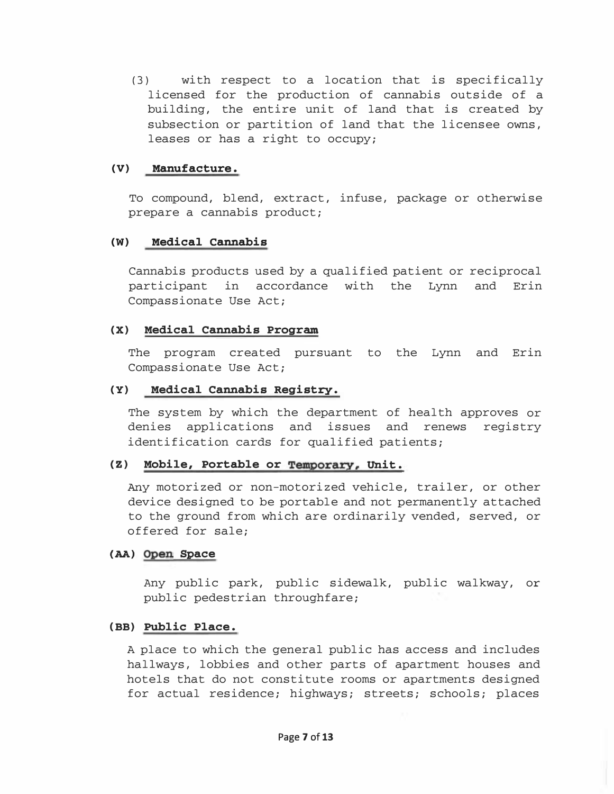(3) with respect to a location that is specifically licensed for the production of cannabis outside of a building, the entire unit of land that is created by subsection or partition of land that the licensee owns, leases or has a right to occupy;

### (V) Manufacture.

To compound, blend, extract, infuse, package or otherwise prepare a cannabis product;

### (W) Medical cannabis

Cannabis products used by a qualified patient or reciprocal participant in accordance with the Lynn and Erin Compassionate Use Act;

### (X) Medical Cannabis Program

The program created pursuant to the Lynn and Erin Compassionate Use Act;

### (Y) Medical Cannabis Registry.

The system by which the department of health approves or denies applications and issues and renews registry identification cards for qualified patients;

### (Z) Mobile, Portable or Temporary, Unit.

Any motorized or non-motorized vehicle, trailer, or other device designed to be portable and not permanently attached to the ground from which are ordinarily vended, served, or offered for sale;

### (AA) Open Space

Any public park, public sidewalk, public walkway, or public pedestrian throughfare;

### (BB) Public Place.

A place to which the general public has access and includes hallways, lobbies and other parts of apartment houses and hotels that do not constitute rooms or apartments designed for actual residence; highways; streets; schools; places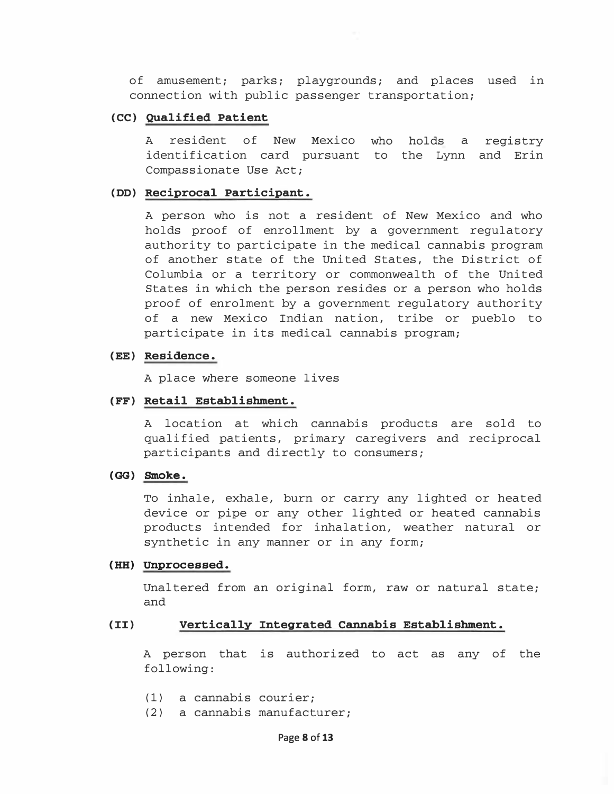of amusement; parks; playgrounds; and places used in connection with public passenger transportation;

#### (CC) Qualified Patient

A resident of New Mexico who holds a registry identification card pursuant to the Lynn and Erin Compassionate Use Act;

#### (DD) Reciprocal Participant.

A person who is not a resident of New Mexico and who holds proof of enrollment by a government regulatory authority to participate in the medical cannabis program of another state of the United States, the District of Columbia or a territory or commonwealth of the United States in which the person resides or a person who holds proof of enrolment by a government regulatory authority of a new Mexico Indian nation, tribe or pueblo to participate in its medical cannabis program;

### (EE) Residence.

A place where someone lives

### [FF) Retail Establishment.

A location at which cannabis products are sold to qualified patients, primary caregivers and reciprocal participants and directly to consumers;

### (GG) Smoke.

To inhale, exhale, burn or carry any lighted or heated device or pipe or any other lighted or heated cannabis products intended for inhalation, weather natural or synthetic in any manner or in any form;

#### (HH) Unprocessed.

Unaltered from an original form, raw or natural state; and

#### (II) Vertically Integrated Cannabis Establishment.

A person that is authorized to act as any of the following:

- (1) a cannabis courier;
- (2) a cannabis manufacturer;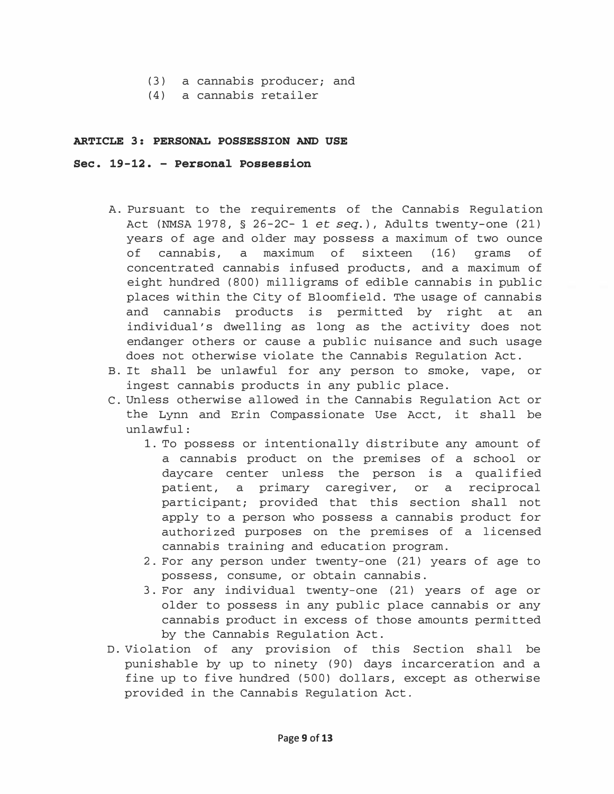- (3) a cannabis producer; and
- (4) a cannabis retailer

### ARTICLE 3: PERSONAL POSSESSION AND USE

### Sec. 19-12. - Personal Possession

- A. Pursuant to the requirements of the Cannabis Regulation Act (NMSA 1978,  $\S$  26-2C- 1 et seq.), Adults twenty-one (21) years of age and older may possess a maximum of two ounce of cannabis, a maximum of sixteen (16) grams of concentrated cannabis infused products, and a maximum of eight hundred (800) milligrams of edible cannabis in public places within the City of Bloomfield. The usage of cannabis and cannabis products is permitted by right at an individual's dwelling as long as the activity does not endanger others or cause a public nuisance and such usage does not otherwise violate the Cannabis Regulation Act.
- B. It shall be unlawful for any person to smoke, vape, or ingest cannabis products in any public place.
- C. Unless otherwise allowed in the Cannabis Regulation Act or the Lynn and Erin Compassionate Use Acct, it shall be unlawful:
	- 1. To possess or intentionally distribute any amount of a cannabis product on the premises of a school or daycare center unless the person is a qualified patient, a primary caregiver, or a reciprocal participant; provided that this section shall not apply to a person who possess a cannabis product for authorized purposes on the premises of a licensed cannabis training and education program.
	- 2. For any person under twenty-one (21) years of age to possess, consume, or obtain cannabis.
	- 3. For any individual twenty-one (21) years of age or older to possess in any public place cannabis or any cannabis product in excess of those amounts permitted by the Cannabis Regulation Act.
- D. Violation of any provision of this Section shall be punishable by up to ninety (90) days incarceration and a fine up to five hundred (500) dollars, except as otherwise provided in the Cannabis Regulation Act.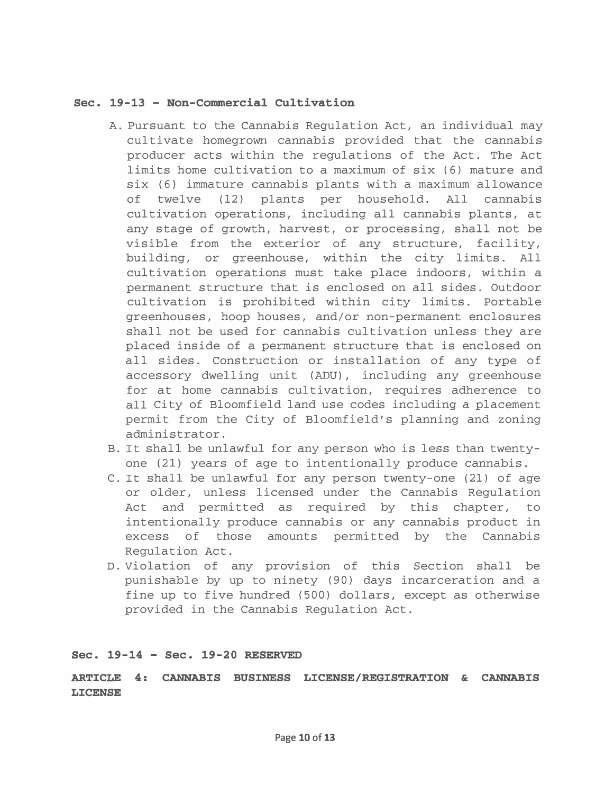### Sec. 19-13 - Non-Commercial Cultivation

- A. Pursuant to the Cannabis Regulation Act, an individual may cultivate homegrown cannabis provided that the cannabis producer acts within the regulations of the Act. The Act limits home cultivation to a maximum of six (6) mature and six (6) immature cannabis plants with a maximum allowance of twelve (12) plants per household. All cannabis cultivation operations, including all cannabis plants, at any stage of growth, harvest, or processing, shall not be visible from the exterior of any structure, facility, building, or greenhouse, within the city limits. All cultivation operations must take place indoors, within a permanent structure that is enclosed on all sides. Outdoor cultivation is prohibited within city limits. Portable greenhouses, hoop houses, and/or non-permanent enclosures shall not be used for cannabis cultivation unless they are placed inside of a permanent structure that is enclosed on all sides. Construction or installation of any type of accessory dwelling unit (ADU) , including any greenhouse for at home cannabis cultivation, requires adherence to all City of Bloomfield land use codes including a placement permit from the City of Bloomfield's planning and zoning administrator.
- B. It shall be unlawful for any person who is less than twentyone (21) years of age to intentionally produce cannabis.
- C. It shall be unlawful for any person twenty-one (21) of age or older, unless licensed under the Cannabis Regulation Act and permitted as required by this chapter, to intentionally produce cannabis or any cannabis product in excess of those amounts permitted by the Cannabis Regulation Act.
- D. Violation of any provision of this Section shall be punishable by up to ninety (90) days incarceration and a fine up to five hundred (500) dollars, except as otherwise provided in the Cannabis Regulation Act.

### Sec. 19-14 - Sec. 19-20 RESERVED

ARTICLE 4: CANNABIS BUSINESS LICENSE/REGISTRATION & CANNABIS LICENSE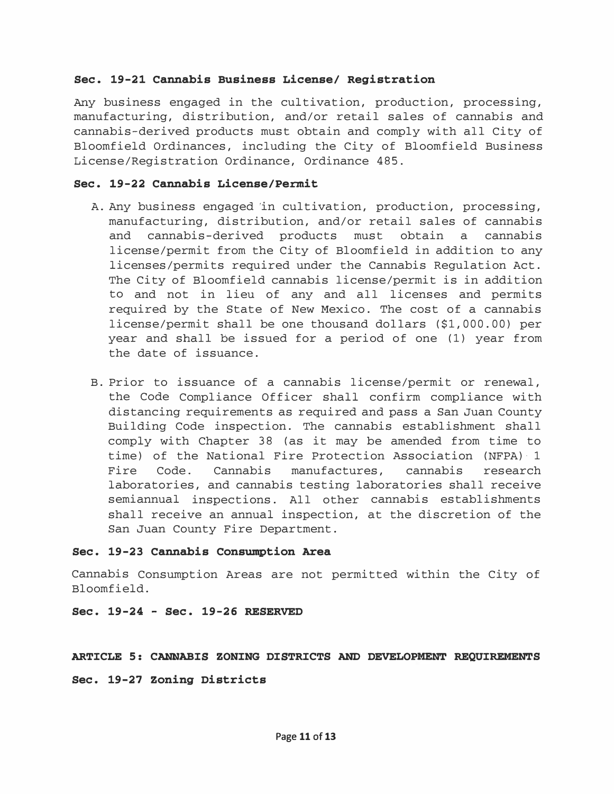### Sec. 19-21 Cannabis Business License/ Registration

Any business engaged in the cultivation, production, processing, manufacturing, distribution, and/or retail sales of cannabis and cannabis-derived products must obtain and comply with all City of Bloomfield Ordinances, including the City of Bloomfield Business License/Registration Ordinance, Ordinance 485.

## Sec. 19-22 Cannabis License/Permit

- A. Any business engaged 'in cultivation, production, processing, manufacturing, distribution, and/or retail sales of cannabis and cannabis-derived products must obtain a cannabis license/permit from the City of Bloomfield in addition to any licenses/permits required under the Cannabis Regulation Act. The City of Bloomfield cannabis license/permit is in addition to and not in lieu of any and all licenses and permits required by the State of New Mexico. The cost of a cannabis license/permit shall be one thousand dollars (\$1, 000.00) per year and shall be issued for a period of one (1) year from the date of issuance.
- B. Prior to issuance of a cannabis license/permit or renewal, the Code Compliance Officer shall confirm compliance with distancing requirements as required and pass a San Juan County Building Code inspection. The cannabis establishment shall comply with Chapter 38 (as it may be amended from time to time) of the National Fire Protection Association (NFPA) 1 Fire Code. Cannabis manufactures, cannabis research laboratories, and cannabis testing laboratories shall receive semiannual inspections. All other cannabis establishments shall receive an annual inspection, at the discretion of the San Juan County Fire Department.

### Sec. 19-23 Cannabis Consumption Area

Cannabis Consumption Areas are not permitted within the City of Bloomfield.

### Sec. 19-24 - Sec. 19-26 RESERVED

### ARTICLE 5: CANNABIS ZONING DISTRICTS AND DEVELOPMENT REQUIREMENTS

Sec. 19-27 Zoning Districts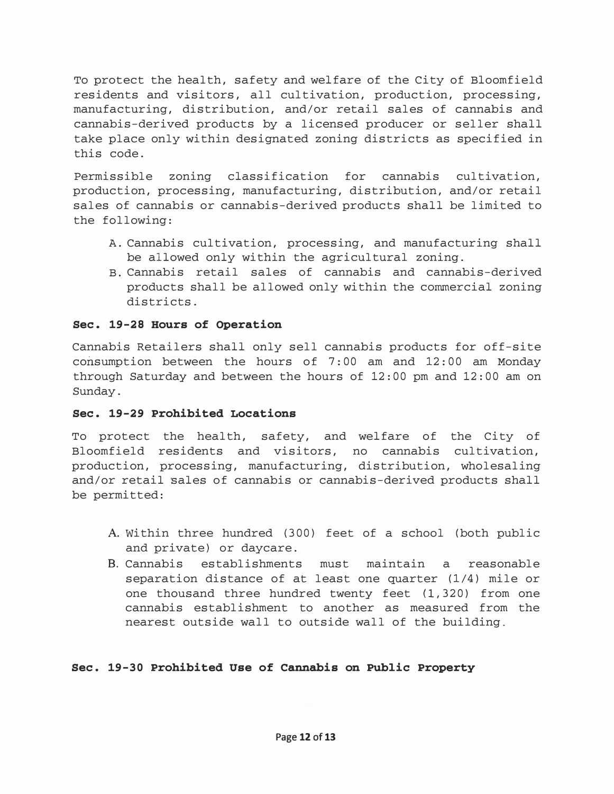To protect the health, safety and welfare of the City of Bloomfield residents and visitors, all cultivation, production, processing, manufacturing, distribution, and/or retail sales of cannabis and cannabis-derived products by a licensed producer or seller shall take place only within designated zoning districts as specified in this code.

Permissible zoning classification for cannabis cultivation, production, processing, manufacturing, distribution, and/or retail sales of cannabis or cannabis-derived products shall be limited to the following:

- A. Cannabis cultivation, processing, and manufacturing shall be allowed only within the agricultural zoning.
- B. Cannabis retail sales of cannabis and cannabis-derived products shall be allowed only within the commercial zoning districts.

# Sec. 19-28 Hours of Operation

Cannabis Retailers shall only sell cannabis products for off-site consumption between the hours of 7: 00 am and 12: 00 am Monday through Saturday and between the hours of 12:00 pm and 12:00 am on Sunday.

## Sec. 19-29 Prohibited Locations

To protect the health, safety, and welfare of the City of Bloomfield residents and visitors, no cannabis cultivation, production, processing, manufacturing, distribution, wholesaling and/or retail sales of cannabis or cannabis-derived products shall be permitted:

- A. Within three hundred (300) feet of a school (both public and private) or daycare.
- B. Cannabis establishments must maintain a reasonable separation distance of at least one quarter (1/4) mile or one thousand three hundred twenty feet (1,320) from one cannabis establishment to another as measured from the nearest outside wall to outside wall of the building.

# Sec. 19-30 Prohibited Use of Cannabis on Public Property